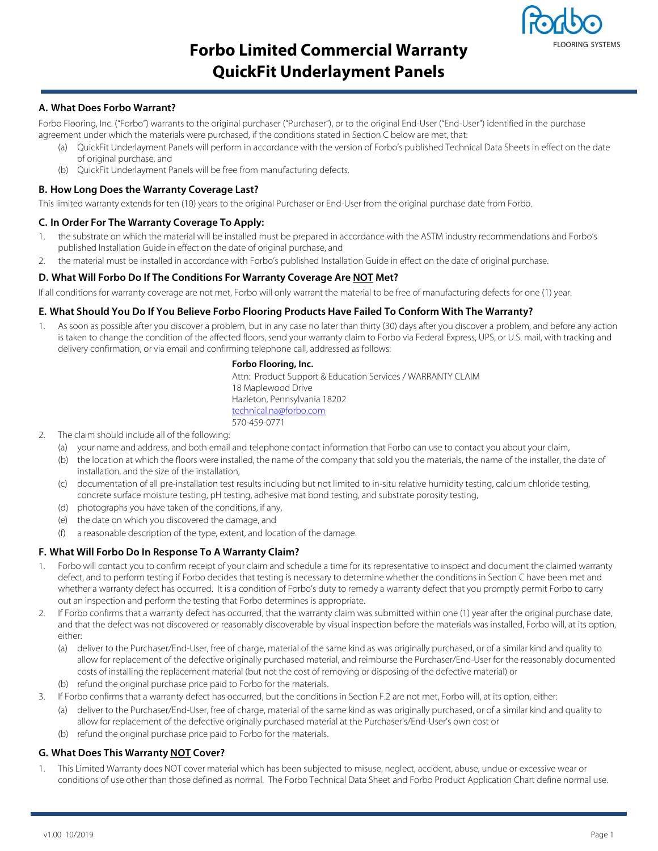

# **Forbo Limited Commercial Warranty QuickFit Underlayment Panels**

## **A. What Does Forbo Warrant?**

Forbo Flooring, Inc. ("Forbo") warrants to the original purchaser ("Purchaser"), or to the original End-User ("End-User") identified in the purchase agreement under which the materials were purchased, if the conditions stated in Section C below are met, that:

- (a) QuickFit Underlayment Panels will perform in accordance with the version of Forbo's published Technical Data Sheets in effect on the date of original purchase, and
- (b) QuickFit Underlayment Panels will be free from manufacturing defects.

#### **B. How Long Does the Warranty Coverage Last?**

This limited warranty extends for ten (10) years to the original Purchaser or End-User from the original purchase date from Forbo.

## **C. In Order For The Warranty Coverage To Apply:**

- 1. the substrate on which the material will be installed must be prepared in accordance with the ASTM industry recommendations and Forbo's published Installation Guide in effect on the date of original purchase, and
- 2. the material must be installed in accordance with Forbo's published Installation Guide in effect on the date of original purchase.

## **D. What Will Forbo Do If The Conditions For Warranty Coverage Are NOT Met?**

If all conditions for warranty coverage are not met, Forbo will only warrant the material to be free of manufacturing defects for one (1) year.

#### **E. What Should You Do If You Believe Forbo Flooring Products Have Failed To Conform With The Warranty?**

1. As soon as possible after you discover a problem, but in any case no later than thirty (30) days after you discover a problem, and before any action is taken to change the condition of the affected floors, send your warranty claim to Forbo via Federal Express, UPS, or U.S. mail, with tracking and delivery confirmation, or via email and confirming telephone call, addressed as follows:

#### **Forbo Flooring, Inc.**

Attn: Product Support & Education Services / WARRANTY CLAIM 18 Maplewood Drive Hazleton, Pennsylvania 18202 technical.na@forbo.com 570-459-0771

- 2. The claim should include all of the following:
	- (a) your name and address, and both email and telephone contact information that Forbo can use to contact you about your claim,
	- (b) the location at which the floors were installed, the name of the company that sold you the materials, the name of the installer, the date of installation, and the size of the installation,
	- (c) documentation of all pre-installation test results including but not limited to in-situ relative humidity testing, calcium chloride testing, concrete surface moisture testing, pH testing, adhesive mat bond testing, and substrate porosity testing,
	- (d) photographs you have taken of the conditions, if any,
	- (e) the date on which you discovered the damage, and
	- (f) a reasonable description of the type, extent, and location of the damage.

#### **F. What Will Forbo Do In Response To A Warranty Claim?**

- Forbo will contact you to confirm receipt of your claim and schedule a time for its representative to inspect and document the claimed warranty defect, and to perform testing if Forbo decides that testing is necessary to determine whether the conditions in Section C have been met and whether a warranty defect has occurred. It is a condition of Forbo's duty to remedy a warranty defect that you promptly permit Forbo to carry out an inspection and perform the testing that Forbo determines is appropriate.
- 2. If Forbo confirms that a warranty defect has occurred, that the warranty claim was submitted within one (1) year after the original purchase date, and that the defect was not discovered or reasonably discoverable by visual inspection before the materials was installed, Forbo will, at its option, either:
	- (a) deliver to the Purchaser/End-User, free of charge, material of the same kind as was originally purchased, or of a similar kind and quality to allow for replacement of the defective originally purchased material, and reimburse the Purchaser/End-User for the reasonably documented costs of installing the replacement material (but not the cost of removing or disposing of the defective material) or
	- (b) refund the original purchase price paid to Forbo for the materials.
- 3. If Forbo confirms that a warranty defect has occurred, but the conditions in Section F.2 are not met, Forbo will, at its option, either:
	- (a) deliver to the Purchaser/End-User, free of charge, material of the same kind as was originally purchased, or of a similar kind and quality to allow for replacement of the defective originally purchased material at the Purchaser's/End-User's own cost or
	- (b) refund the original purchase price paid to Forbo for the materials.

## **G. What Does This Warranty NOT Cover?**

This Limited Warranty does NOT cover material which has been subjected to misuse, neglect, accident, abuse, undue or excessive wear or conditions of use other than those defined as normal. The Forbo Technical Data Sheet and Forbo Product Application Chart define normal use.